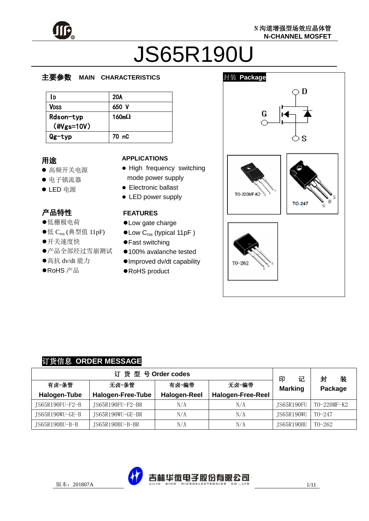

# JS65R190U

#### Į.  $\overline{\phantom{a}}$ 主要参数 **MAIN CHARACTERISTICS**

| ١D                              | 20A           |
|---------------------------------|---------------|
| Vdss                            | 650 V         |
| Rdson-typ<br>$(\text{Wgs}=10V)$ | 160m $\Omega$ |
| Qg-typ                          | 70 nC         |

### 用途

- 高频开关电源
- 电子镇流器
- LED 电源

# 产品特性

- , 〓【7】<del>】</del><br>●低栅极电荷
- ●低  $C_{rss}$  (典型值 11pF)
- ●<br>邢关速度快
- <del>ハハ之</del>之穴<br>●产品全部经过雪崩测试
- ●高抗 dv/dt 能力
- بدا<br>انت  $\overline{\phantom{0}}$ RoHS 产品

#### **APPLICATIONS**

- High frequency switching mode power supply
- **•** Electronic ballast
- LED power supply

#### **FEATURES**

- Low gate charge
- Low C<sub>rss</sub> (typical 11pF)
- Fast switching
- 100% avalanche tested
- Improved dv/dt capability
- RoHS product



#### 订货信息 **ORDER MESSAGE**

| 订货型号Order codes |                          |                          |                          |                   | 装<br>封      |
|-----------------|--------------------------|--------------------------|--------------------------|-------------------|-------------|
| 有卤-条管           | 无卤-条管                    | 印<br>记<br><b>Marking</b> | Package                  |                   |             |
| Halogen-Tube    | <b>Halogen-Free-Tube</b> | <b>Halogen-Reel</b>      | <b>Halogen-Free-Reel</b> |                   |             |
| JS65R190FU-F2-B | JS65R190FU-F2-BR         | N/A                      | N/A                      | <b>IS65R190FU</b> | TO-220MF-K2 |
| JS65R190WU-GE-B | JS65R190WU-GE-BR         | N/A                      | N/A                      | JS65R190WU        | $T0-247$    |
| IS65R190BU-B-B  | JS65R190BU-B-BR          | N/A                      | N/A                      | JS65R190BU        | T0-262      |

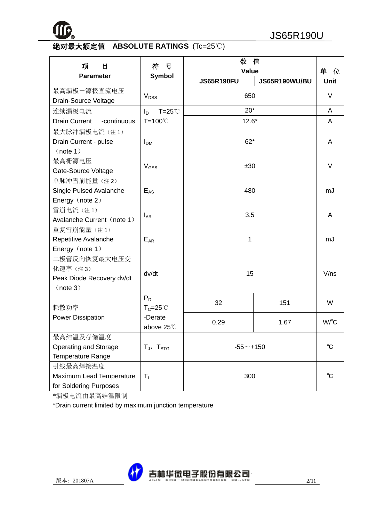

# 绝对最大额定值 **ABSOLUTE RATINGS** (Tc=25℃)

| 项<br>目                                                           | 号<br>符                             | 数<br>值<br><b>Value</b> |               | 单<br>位                |
|------------------------------------------------------------------|------------------------------------|------------------------|---------------|-----------------------|
| <b>Parameter</b>                                                 | <b>Symbol</b>                      | <b>JS65R190FU</b>      | JS65R190WU/BU | <b>Unit</b>           |
| 最高漏极一源极直流电压<br>Drain-Source Voltage                              | V <sub>DSS</sub>                   | 650                    |               | $\vee$                |
| 连续漏极电流                                                           | $T = 25^{\circ}$<br>$I_{\text{D}}$ | $20*$                  |               | A                     |
| <b>Drain Current</b><br>-continuous                              | T=100℃                             | $12.6*$                |               | A                     |
| 最大脉冲漏极电流(注1)<br>Drain Current - pulse<br>(note 1)                | I <sub>DM</sub>                    | $62*$                  |               | A                     |
| 最高栅源电压<br>Gate-Source Voltage                                    | $V$ <sub>GSS</sub>                 | ±30                    |               | $\vee$                |
| 单脉冲雪崩能量(注2)<br>Single Pulsed Avalanche<br>Energy (note 2)        | $E_{AS}$                           | 480                    |               | mJ                    |
| 雪崩电流(注1)<br>Avalanche Current (note 1)                           | $I_{AR}$                           | 3.5                    |               | A                     |
| 重复雪崩能量(注1)<br>Repetitive Avalanche<br>Energy (note 1)            | $E_{AR}$                           | 1                      |               | mJ                    |
| 二极管反向恢复最大电压变<br>化速率(注3)<br>Peak Diode Recovery dv/dt<br>(note 3) | dv/dt                              | 15                     |               | V/ns                  |
| 耗散功率                                                             | $P_D$<br>$T_c = 25^{\circ}$        | 32                     | 151           | W                     |
| Power Dissipation                                                | -Derate<br>above 25°C              | 0.29                   | 1.67          | $W$ / $\rm ^{\circ}C$ |
| 最高结温及存储温度<br>Operating and Storage<br><b>Temperature Range</b>   | $T_J$ , $T_{STG}$                  | $-55$ ~+150            |               | °C                    |
| 引线最高焊接温度<br>Maximum Lead Temperature<br>for Soldering Purposes   | $T_{L}$                            | 300                    |               | $^{\circ}$ C          |

\*漏极电流由最高结温限制

\*Drain current limited by maximum junction temperature

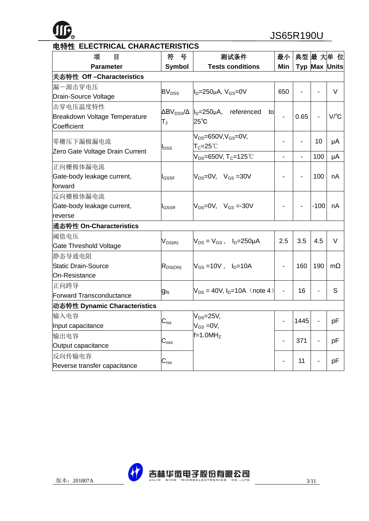

| 项<br>目                          | 号<br>符                       | 测试条件                                                              | 最小                       |                          |                          | 典型 最 大单 位            |
|---------------------------------|------------------------------|-------------------------------------------------------------------|--------------------------|--------------------------|--------------------------|----------------------|
| <b>Parameter</b>                | <b>Symbol</b>                | <b>Tests conditions</b>                                           | Min                      |                          |                          | Typ Max Units        |
| 关态特性 Off - Characteristics      |                              |                                                                   |                          |                          |                          |                      |
| 漏一源击穿电压                         | <b>BV</b> <sub>DSS</sub>     | $I_D = 250 \mu A$ , $V_{GS} = 0V$                                 | 650                      |                          |                          | $\vee$               |
| Drain-Source Voltage            |                              |                                                                   |                          | $\overline{\phantom{a}}$ |                          |                      |
| 击穿电压温度特性                        |                              | $\Delta BV_{DSS}/\Delta$  l <sub>D</sub> =250µA, referenced<br>to |                          |                          |                          |                      |
| Breakdown Voltage Temperature   | $\mathsf{T}_\mathsf{J}$      | $25^{\circ}$ C                                                    |                          | 0.65                     | $\overline{\phantom{0}}$ | $V$ <sup>o</sup> $C$ |
| Coefficient                     |                              |                                                                   |                          |                          |                          |                      |
| 零栅压下漏极漏电流                       |                              | $V_{DS} = 650V, V_{GS} = 0V,$                                     |                          |                          | 10                       | μA                   |
| Zero Gate Voltage Drain Current | I <sub>DSS</sub>             | $\mathsf{T}_{\mathbb C}$ =25˚ $\mathbb C$                         |                          |                          |                          |                      |
|                                 |                              | $V_{DS} = 650V, T_C = 125°C$                                      | $\overline{\phantom{a}}$ |                          | 100                      | μA                   |
| 正向栅极体漏电流                        |                              |                                                                   |                          |                          |                          |                      |
| Gate-body leakage current,      | $\mathsf{I}_{\mathsf{GSSF}}$ | $V_{DS} = 0V$ , $V_{GS} = 30V$                                    |                          |                          | 100                      | nA                   |
| forward                         |                              |                                                                   |                          |                          |                          |                      |
| 反向栅极体漏电流                        |                              |                                                                   |                          |                          |                          |                      |
| Gate-body leakage current,      | <b>I</b> GSSR                | $V_{DS} = 0V$ , $V_{GS} = -30V$                                   |                          |                          | $-100$                   | nA                   |
| reverse                         |                              |                                                                   |                          |                          |                          |                      |
| 通态特性 On-Characteristics         |                              |                                                                   |                          |                          |                          |                      |
| 阈值电压                            |                              | $V_{DS} = V_{GS}$ , $I_D = 250 \mu A$                             | 2.5                      | 3.5                      | 4.5                      | V                    |
| Gate Threshold Voltage          | $V_{GS(th)}$                 |                                                                   |                          |                          |                          |                      |
| 静态导通电阻                          |                              |                                                                   |                          |                          |                          |                      |
| <b>Static Drain-Source</b>      | $R_{DS(ON)}$                 | $V_{GS} = 10V$ , $I_D = 10A$                                      |                          | 160                      | 190                      | $m\Omega$            |
| On-Resistance                   |                              |                                                                   |                          |                          |                          |                      |
| 正向跨导                            |                              | $V_{DS} = 40V$ , $I_D = 10A$ (note 4)                             |                          | 16                       |                          | S                    |
| <b>Forward Transconductance</b> | <b>g</b> fs                  |                                                                   |                          |                          |                          |                      |
| 动态特性 Dynamic Characteristics    |                              |                                                                   |                          |                          |                          |                      |
| 输入电容                            |                              | $V_{DS} = 25V$ ,                                                  |                          | 1445                     |                          |                      |
| Input capacitance               | $C_{\text{iss}}$             | $V_{GS} = 0V$ ,                                                   |                          |                          |                          | pF                   |
| 输出电容                            |                              | $f=1.0MHz$                                                        |                          | 371                      |                          | pF                   |
| Output capacitance              | $C_{\rm oss}$                |                                                                   |                          |                          |                          |                      |
| 反向传输电容                          |                              |                                                                   |                          | 11                       |                          | pF                   |
| Reverse transfer capacitance    | $\mathrm{C_{rss}}$           |                                                                   |                          |                          |                          |                      |



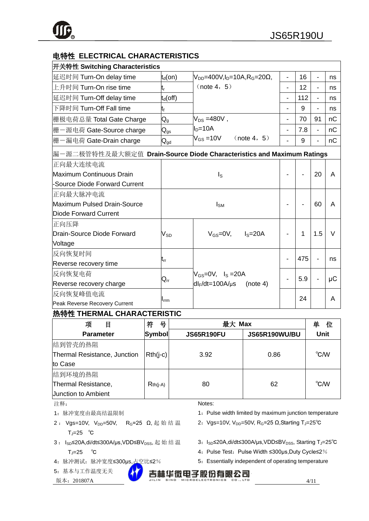# 电特性 **ELECTRICAL CHARACTERISTICS**

| 开关特性 Switching Characteristics                                        |                             |                                        |                |     |                |                 |
|-----------------------------------------------------------------------|-----------------------------|----------------------------------------|----------------|-----|----------------|-----------------|
| 延迟时间 Turn-On delay time                                               | $t_d$ (on)                  | $V_{DD} = 400V, I_D = 10A, R_G = 20Ω,$ | $\blacksquare$ | 16  | $\blacksquare$ | ns              |
| 上升时间 Turn-On rise time                                                | lt,                         | (note 4, 5)                            | $\blacksquare$ | 12  |                | ns              |
| 延迟时间 Turn-Off delay time                                              | $t_d$ (off)                 |                                        | -              | 112 | $\blacksquare$ | ns              |
| 下降时间 Turn-Off Fall time                                               | t <sub>f</sub>              |                                        |                | 9   |                | ns              |
| 栅极电荷总量 Total Gate Charge                                              | $\mathsf{Q}_{\text{g}}$     | $V_{DS} = 480V$ ,                      |                | 70  | 91             | nC              |
| 栅一源电荷 Gate-Source charge                                              | $\mathsf{Q}_{\mathsf{gs}}$  | $ID=10A$                               |                | 7.8 |                | nC              |
| 栅一漏电荷 Gate-Drain charge                                               | $\mathsf{Q}_{\mathsf{gd}}$  | $V_{GS} = 10V$<br>(note 4, 5)          |                | 9   |                | nC              |
| 漏一源二极管特性及最大额定值 Drain-Source Diode Characteristics and Maximum Ratings |                             |                                        |                |     |                |                 |
| 正向最大连续电流                                                              |                             |                                        |                |     |                |                 |
| Maximum Continuous Drain                                              | $I_{\rm S}$                 |                                        |                |     | 20             | A               |
| -Source Diode Forward Current                                         |                             |                                        |                |     |                |                 |
| 正向最大脉冲电流                                                              |                             |                                        |                |     |                |                 |
| Maximum Pulsed Drain-Source                                           | 60<br>$I_{\text{SM}}$       |                                        |                |     | A              |                 |
| Diode Forward Current                                                 |                             |                                        |                |     |                |                 |
| 正向压降                                                                  |                             |                                        |                |     |                |                 |
| Drain-Source Diode Forward                                            | $\mathsf{V}_{\texttt{SD}}$  | $V_{GS} = 0V$ , $I_S = 20A$            |                | 1   | 1.5            | $\vee$          |
| Voltage                                                               |                             |                                        |                |     |                |                 |
| 反向恢复时间                                                                |                             |                                        |                |     |                |                 |
| Reverse recovery time                                                 | $t_{rr}$                    |                                        |                | 475 |                | ns              |
| 反向恢复电荷                                                                |                             | $V_{GS}=0V$ , $I_S=20A$                |                | 5.9 |                |                 |
| Reverse recovery charge                                               | $\mathsf{Q}_{\mathsf{rr}}$  | $dl_F/dt = 100A/\mu s$<br>(note 4)     |                |     |                | $\upmu\text{C}$ |
| 反向恢复峰值电流                                                              |                             |                                        |                | 24  |                | A               |
| Peak Reverse Recovery Current                                         | $\mathsf{I}_{\mathsf{rrm}}$ |                                        |                |     |                |                 |

#### 热特性 **THERMAL CHARACTERISTIC**

| 项<br>目                       | 号<br>符     | 最大 Max            |                      | 单<br>位 |
|------------------------------|------------|-------------------|----------------------|--------|
| <b>Parameter</b>             | Symbol     | <b>JS65R190FU</b> | <b>JS65R190WU/BU</b> | Unit   |
| 结到管壳的热阻                      |            |                   |                      |        |
| Thermal Resistance, Junction | $Rth(i-c)$ | 3.92              | 0.86                 | °C/W   |
| to Case                      |            |                   |                      |        |
| 结到环境的热阻                      |            |                   |                      |        |
| Thermal Resistance,          | $Rth(i-A)$ | 80                | 62                   | °C/W   |
| <b>Junction to Ambient</b>   |            |                   |                      |        |

#### 注释:

1:脉冲宽度由最高结温限制

2: Vgs=10V, V<sub>DD</sub>=50V, R<sub>G</sub>=25 Ω, 起始结温  $T_J=25$  ℃

# 3: I<sub>SD</sub>≤20A,di/dt≤300A/µs,VDD≤BV<sub>DSS</sub>, 起始结温  $T_J=25$  °C

- 4:脉冲测试:脉冲宽度≤300μs,占空比≤2%
- 5:基本与工作温度无关
- $\overline{M}$   $\overline{A}$ : 201807A 4/11
- Notes:
- 1: Pulse width limited by maximum junction temperature
- 2: Vgs=10V, V<sub>DD</sub>=50V, R<sub>G</sub>=25 Ω, Starting T<sub>J</sub>=25°C
- 3: I<sub>SD</sub>≤20A,di/dt≤300A/µs,VDD≤BV<sub>DSS</sub>, Starting T<sub>J</sub>=25°C
- 4: Pulse Test: Pulse Width ≤300µs, Duty Cycle≤2%
- 5: Essentially independent of operating temperature

吉林华微电子股份有限公司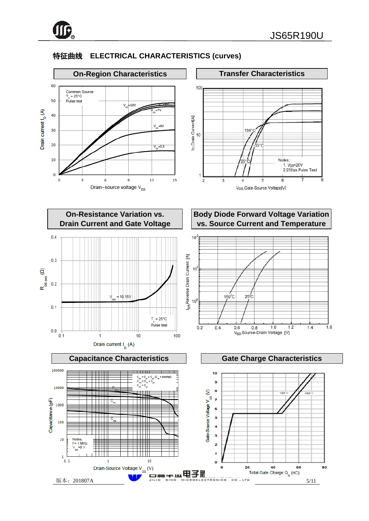

# 特征曲线 **ELECTRICAL CHARACTERISTICS (curves)**

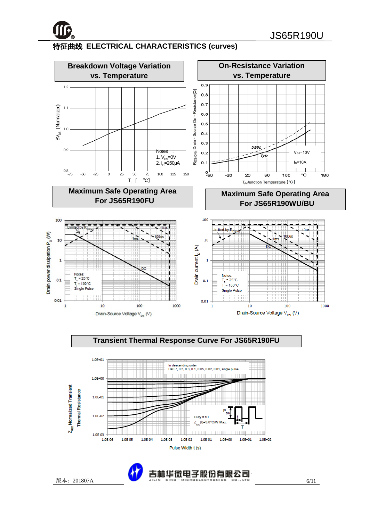

# 特征曲线 **ELECTRICAL CHARACTERISTICS (curves)**



Duty  $= t/1$  $(t) = 3.6^{\circ}$ C/W

 $1.0E - 01$ 

 $1.0E + 00$ 

 $1.0E + 01$ 

 $1111$ 

 $1.0E + 02$ 

z

1.0E-02

Pulse Width t (s) 版本:201807A 6/11

1.0E-03

1.0E-04

1.0E-05

1.0E-02

1.0E-03

1.0E-06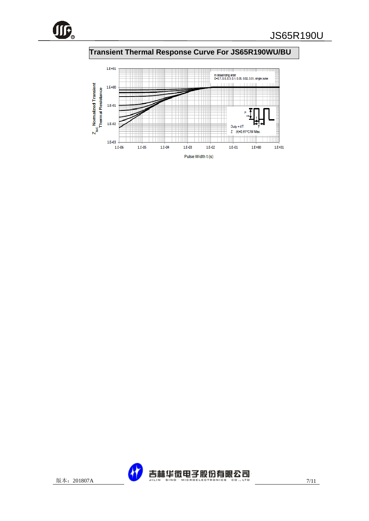

# **Transient Thermal Response Curve For JS65R190WU/BU**



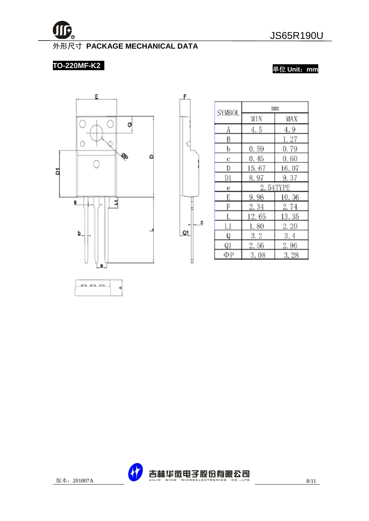

# 外形尺寸 **PACKAGE MECHANICAL DATA**

£.

C

c

 $Q1$ 

Þ

# **TO-220MF-K2**

单位 **Unit**:**mm**



|               | mm    |          |  |  |
|---------------|-------|----------|--|--|
| <b>SYMBOL</b> | MIN   | MAX      |  |  |
| A             | 4.5   | 4.9      |  |  |
| B             |       | 1.27     |  |  |
| b             | 0.59  | 0.79     |  |  |
| c             | 0.45  | 0.60     |  |  |
| D             | 15.67 | 16.07    |  |  |
| D1            | 8.97  | 9.37     |  |  |
| е             |       | 2.54TYPE |  |  |
| E             | 9.96  | 10.36    |  |  |
| F             | 2.34  | 2.74     |  |  |
|               | 12.65 | 13.35    |  |  |
| Ll            | 1.80  | 2. 20    |  |  |
| Q             | 3.2   | 3.4      |  |  |
| Q1            | 2.56  | 2.96     |  |  |
| ΦР            | 3.08  | 3.28     |  |  |

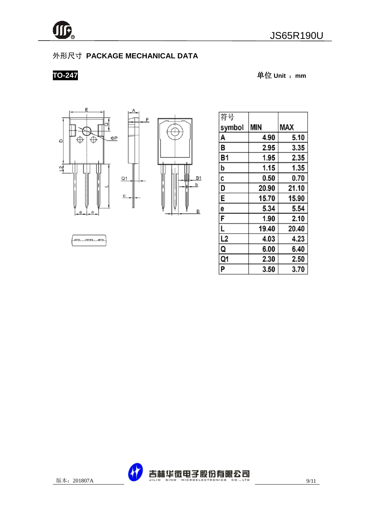

# 外形尺寸 **PACKAGE MECHANICAL DATA**

 $\overline{c}$ 

**TO-247** 单位 **Unit** :**mm**





| 符号        |            |       |
|-----------|------------|-------|
| symbol    | <b>MIN</b> | MAX   |
| A         | 4.90       | 5.10  |
| В         | 2.95       | 3.35  |
| <b>B1</b> | 1.95       | 2.35  |
| þ         | 1.15       | 1.35  |
| C         | 0.50       | 0.70  |
| D         | 20.90      | 21.10 |
| E         | 15.70      | 15.90 |
| 6         | 5.34       | 5.54  |
| F         | 1.90       | 2.10  |
| L         | 19.40      | 20.40 |
| L2        | 4.03       | 4.23  |
| Q         | 6.00       | 6.40  |
| Q1        | 2.30       | 2.50  |
| P         | 3.50       | 3.70  |

m m m

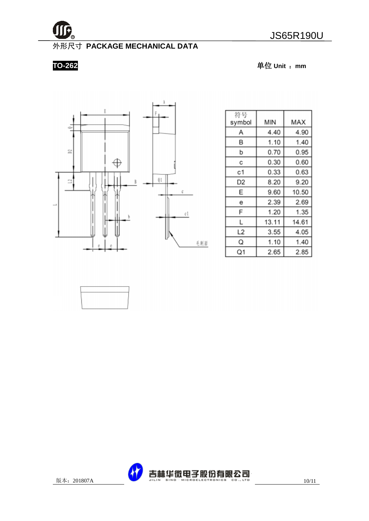

# 外形尺寸 **PACKAGE MECHANICAL DATA**

**TO-262** 单位 **Unit** :**mm**



| 符号<br>symbol | ΜIΝ   | MAX   |
|--------------|-------|-------|
| Α            | 4.40  | 4.90  |
| В            | 1.10  | 1.40  |
| b            | 0.70  | 0.95  |
| С            | 0.30  | 0.60  |
| с1           | 0.33  | 0.63  |
| D2           | 8.20  | 9.20  |
| Ε            | 9.60  | 10.50 |
| е            | 2.39  | 2.69  |
| F            | 1.20  | 1.35  |
| L            | 13.11 | 14.61 |
| L2           | 3.55  | 4.05  |
| Q            | 1.10  | 1.40  |
| Q1           | 2.65  | 2.85  |